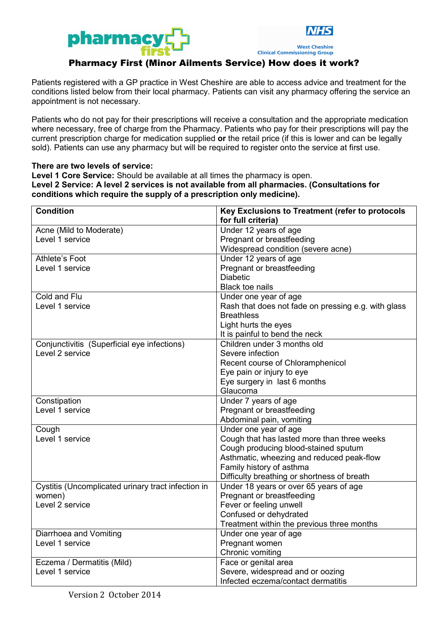



**Clinical Commissioning Group** 

## Pharmacy First (Minor Ailments Service) How does it work?

Patients registered with a GP practice in West Cheshire are able to access advice and treatment for the conditions listed below from their local pharmacy. Patients can visit any pharmacy offering the service an appointment is not necessary.

Patients who do not pay for their prescriptions will receive a consultation and the appropriate medication where necessary, free of charge from the Pharmacy. Patients who pay for their prescriptions will pay the current prescription charge for medication supplied **or** the retail price (if this is lower and can be legally sold). Patients can use any pharmacy but will be required to register onto the service at first use.

## **There are two levels of service:**

**Level 1 Core Service:** Should be available at all times the pharmacy is open.

**Level 2 Service: A level 2 services is not available from all pharmacies. (Consultations for conditions which require the supply of a prescription only medicine).**

| <b>Condition</b>                                   | Key Exclusions to Treatment (refer to protocols     |
|----------------------------------------------------|-----------------------------------------------------|
|                                                    | for full criteria)                                  |
| Acne (Mild to Moderate)                            | Under 12 years of age                               |
| Level 1 service                                    | Pregnant or breastfeeding                           |
|                                                    | Widespread condition (severe acne)                  |
| <b>Athlete's Foot</b>                              | Under 12 years of age                               |
| Level 1 service                                    | Pregnant or breastfeeding                           |
|                                                    | <b>Diabetic</b>                                     |
|                                                    | <b>Black toe nails</b>                              |
| Cold and Flu                                       | Under one year of age                               |
| Level 1 service                                    | Rash that does not fade on pressing e.g. with glass |
|                                                    | <b>Breathless</b>                                   |
|                                                    | Light hurts the eyes                                |
|                                                    | It is painful to bend the neck                      |
| Conjunctivitis (Superficial eye infections)        | Children under 3 months old                         |
| Level 2 service                                    | Severe infection                                    |
|                                                    | Recent course of Chloramphenicol                    |
|                                                    | Eye pain or injury to eye                           |
|                                                    | Eye surgery in last 6 months                        |
|                                                    | Glaucoma                                            |
| Constipation                                       | Under 7 years of age                                |
| Level 1 service                                    | Pregnant or breastfeeding                           |
|                                                    | Abdominal pain, vomiting                            |
| Cough                                              | Under one year of age                               |
| Level 1 service                                    | Cough that has lasted more than three weeks         |
|                                                    | Cough producing blood-stained sputum                |
|                                                    | Asthmatic, wheezing and reduced peak-flow           |
|                                                    | Family history of asthma                            |
|                                                    | Difficulty breathing or shortness of breath         |
| Cystitis (Uncomplicated urinary tract infection in | Under 18 years or over 65 years of age              |
| women)                                             | Pregnant or breastfeeding                           |
| Level 2 service                                    | Fever or feeling unwell                             |
|                                                    | Confused or dehydrated                              |
|                                                    | Treatment within the previous three months          |
| Diarrhoea and Vomiting                             | Under one year of age                               |
| Level 1 service                                    | Pregnant women                                      |
|                                                    | Chronic vomiting                                    |
| Eczema / Dermatitis (Mild)                         | Face or genital area                                |
| Level 1 service                                    | Severe, widespread and or oozing                    |
|                                                    | Infected eczema/contact dermatitis                  |